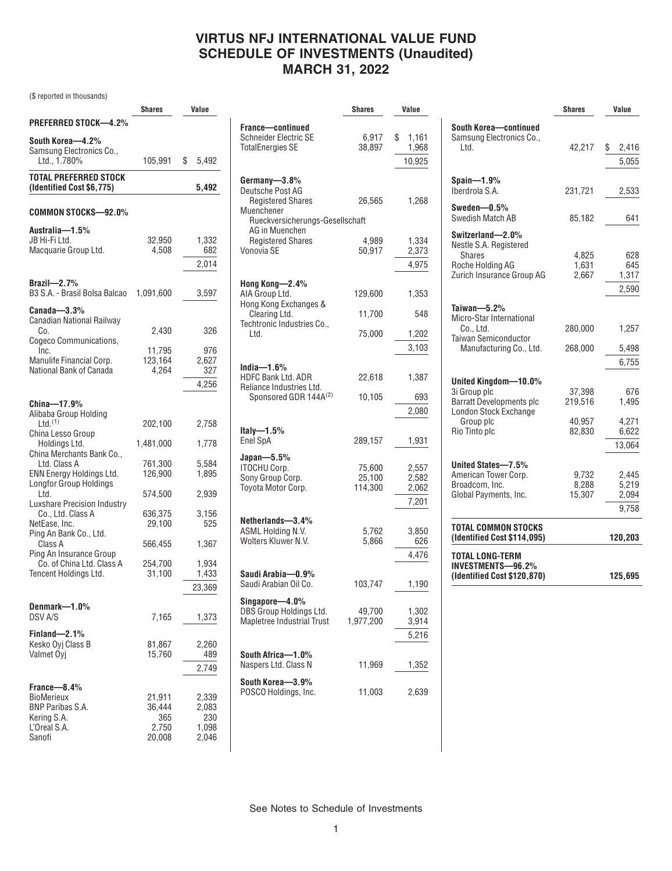## **VIRTUS NFJ INTERNATIONAL VALUE FUND SCHEDULE OF INVESTMENTS (Unaudited) MARCH 31, 2022**

(\$ reported in thousands)

|                                                                  | <b>Shares</b>    | Value          |
|------------------------------------------------------------------|------------------|----------------|
| PREFERRED STOCK—4.2%                                             |                  |                |
| South Korea—4.2%<br>Samsung Electronics Co.,<br>Ltd., 1.780%     | 105,991          | \$<br>5,492    |
| <b>TOTAL PREFERRED STOCK</b><br>(Identified Cost \$6,775)        |                  | 5,492          |
| COMMON STOCKS—92.0%                                              |                  |                |
| Australia-1.5%                                                   |                  |                |
| JB Hi-Fi Ltd.                                                    | 32,950           | 1,332          |
| Macquarie Group Ltd.                                             | 4,508            | 682            |
|                                                                  |                  | 2,014          |
| Brazil- $2.7%$                                                   |                  |                |
| B3 S.A. - Brasil Bolsa Balcao                                    | 1,091,600        | 3,597          |
| $\mathtt{Canada}\text{---}3.3\%$<br>Canadian National Railway    |                  |                |
| Co.                                                              | 2,430            | 326            |
| Cogeco Communications,<br>Inc.                                   | 11,795           | 976            |
| Manulife Financial Corp.                                         | 123,164          | 2,627          |
| National Bank of Canada                                          | 4,264            | 327            |
|                                                                  |                  | 4,256          |
| China-17.9%                                                      |                  |                |
| Alibaba Group Holding                                            |                  |                |
| $Ltd.$ <sup>(1)</sup>                                            | 202,100          | 2,758          |
| China Lesso Group<br>Holdings Ltd.                               | 1,481,000        | 1,778          |
| China Merchants Bank Co.,                                        |                  |                |
| Ltd. Class A                                                     | 761,300          | 5,584          |
| <b>ENN Energy Holdings Ltd.</b><br><b>Longfor Group Holdings</b> | 126,900          | 1,895          |
| Ltd.                                                             | 574,500          | 2,939          |
| <b>Luxshare Precision Industry</b>                               |                  |                |
| Co., Ltd. Class A                                                | 636,375          | 3,156          |
| NetEase, Inc.<br>Ping An Bank Co., Ltd.                          | 29,100           | 525            |
| Class A                                                          | 566,455          | 1,367          |
| Ping An Insurance Group<br>Co. of China Ltd. Class A             | 254,700          | 1,934          |
| Tencent Holdings Ltd.                                            | 31,100           | 1,433          |
|                                                                  |                  | 23,369         |
| Denmark—1.0%                                                     |                  |                |
| DSV A/S                                                          | 7,165            | 1,373          |
| Finland-2.1%                                                     |                  |                |
| Kesko Oyj Class B                                                | 81,867           | 2,260          |
| Valmet Oyj                                                       | 15,760           | 489            |
|                                                                  |                  | 2,749          |
| France-8.4%                                                      |                  |                |
| BioMerieux<br><b>BNP Paribas S.A.</b>                            | 21,911<br>36,444 | 2,339<br>2,083 |
| Kering S.A.                                                      | 365              | 230            |
| L'Oreal S.A.                                                     | 2,750            | 1,098          |
| Sanofi                                                           | 20,008           | 2,046          |

|                                                   | Shares    | Value       |
|---------------------------------------------------|-----------|-------------|
|                                                   |           |             |
| France-continued<br><b>Schneider Electric SE</b>  | 6,917     | \$<br>1,161 |
| <b>TotalEnergies SE</b>                           | 38,897    | 1,968       |
|                                                   |           | 10,925      |
|                                                   |           |             |
| Germany-3.8%                                      |           |             |
| Deutsche Post AG                                  |           |             |
| <b>Registered Shares</b><br>Muenchener            | 26,565    | 1,268       |
| Rueckversicherungs-Gesellschaft                   |           |             |
| AG in Muenchen                                    |           |             |
| <b>Registered Shares</b>                          | 4,989     | 1,334       |
| Vonovia SE                                        | 50,917    | 2,373       |
|                                                   |           | 4,975       |
| Hong Kong-2.4%                                    |           |             |
| AIA Group Ltd.                                    | 129,600   | 1,353       |
| Hong Kong Exchanges &                             |           |             |
| Clearing Ltd.                                     | 11,700    | 548         |
| Techtronic Industries Co.,<br>Ltd.                | 75,000    | 1,202       |
|                                                   |           |             |
|                                                   |           | 3,103       |
| India—1.6%                                        |           |             |
| <b>HDFC Bank Ltd. ADR</b>                         | 22,618    | 1,387       |
| Reliance Industries Ltd.<br>Sponsored GDR 144A(2) | 10,105    | 693         |
|                                                   |           | 2,080       |
|                                                   |           |             |
| ltaly—1.5%                                        |           |             |
| Enel SpA                                          | 289,157   | 1,931       |
| $Japan-5.5%$                                      |           |             |
| <b>ITOCHU Corp.</b>                               | 75,600    | 2,557       |
| Sony Group Corp.                                  | 25,100    | 2,582       |
| Toyota Motor Corp.                                | 114,300   | 2,062       |
|                                                   |           | 7,201       |
| Netherlands-3.4%                                  |           |             |
| ASML Holding N.V.                                 | 5,762     | 3,850       |
| Wolters Kluwer N.V.                               | 5,866     | 626         |
|                                                   |           | 4,476       |
| Saudi Arabia—0.9%                                 |           |             |
| Saudi Arabian Oil Co.                             | 103,747   | 1,190       |
|                                                   |           |             |
| Singapore—4.0%<br>DBS Group Holdings Ltd.         | 49,700    | 1,302       |
| Mapletree Industrial Trust                        | 1,977,200 | 3,914       |
|                                                   |           | 5,216       |
|                                                   |           |             |
| South Africa-1.0%                                 |           |             |
| Naspers Ltd. Class N                              | 11,969    | 1,352       |
| South Korea-3.9%                                  |           |             |
| POSCO Holdings, Inc.                              | 11,003    | 2,639       |
|                                                   |           |             |

|                                                                                                                                       | <b>Shares</b>                         | Value                                    |
|---------------------------------------------------------------------------------------------------------------------------------------|---------------------------------------|------------------------------------------|
| South Korea-continued<br>Samsung Electronics Co.,<br>Ltd.                                                                             | 42,217                                | \$<br>2,416<br>5,055                     |
| $Spain-1.9%$<br>Iberdrola S.A.                                                                                                        | 231,721                               | 2,533                                    |
| Sweden $-0.5%$<br>Swedish Match AB                                                                                                    | 85,182                                | 641                                      |
| Switzerland-2.0%<br>Nestle S.A. Registered<br>Shares<br>Roche Holdina AG<br>Zurich Insurance Group AG                                 | 4.825<br>1,631<br>2,667               | 628<br>645<br>1,317<br>2,590             |
| Taiwan $-5.2%$<br>Micro-Star International<br>Co Ltd.<br><b>Taiwan Semiconductor</b><br>Manufacturing Co., Ltd.                       | 280,000<br>268,000                    | 1,257<br>5,498<br>6,755                  |
| United Kingdom-10.0%<br>3i Group plc<br><b>Barratt Developments plc</b><br><b>London Stock Exchange</b><br>Group plc<br>Rio Tinto plc | 37,398<br>219,516<br>40.957<br>82,830 | 676<br>1.495<br>4.271<br>6,622<br>13,064 |
| United States-7.5%<br>American Tower Corp.<br>Broadcom, Inc.<br>Global Payments, Inc.                                                 | 9.732<br>8.288<br>15,307              | 2.445<br>5,219<br>2,094<br>9,758         |
| TOTAL COMMON STOCKS<br>(Identified Cost \$114,095)                                                                                    |                                       | 120,203                                  |
| <b>TOTAL LONG-TERM</b><br>INVESTMENTS-96.2%<br>(Identified Cost \$120,870)                                                            |                                       | 125,695                                  |

See Notes to Schedule of Investments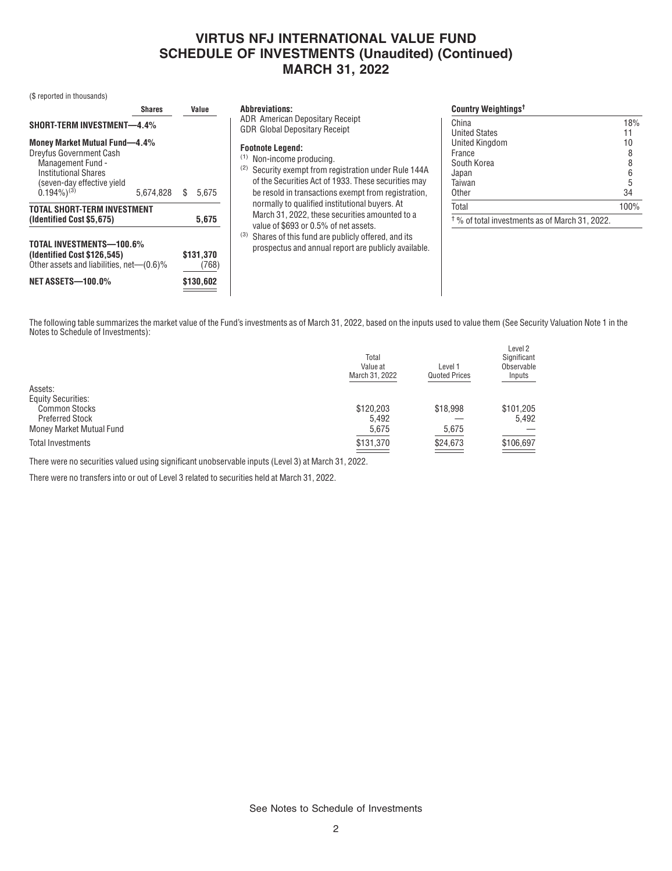## **VIRTUS NFJ INTERNATIONAL VALUE FUND SCHEDULE OF INVESTMENTS (Unaudited) (Continued) MARCH 31, 2022**

(\$ reported in thousands)

|                                                                                                                                                                                                                    | <b>Shares</b> | Value       | <b>Abbreviations:</b>                                                                                                                                                                                                                                                                                               | Country Weightings <sup>t</sup>                                                                             |                 |
|--------------------------------------------------------------------------------------------------------------------------------------------------------------------------------------------------------------------|---------------|-------------|---------------------------------------------------------------------------------------------------------------------------------------------------------------------------------------------------------------------------------------------------------------------------------------------------------------------|-------------------------------------------------------------------------------------------------------------|-----------------|
| <b>SHORT-TERM INVESTMENT-4.4%</b><br><b>Money Market Mutual Fund-4.4%</b><br>Dreyfus Government Cash<br>Management Fund -<br><b>Institutional Shares</b><br>(seven-day effective yield<br>$0.194\%$ <sup>(3)</sup> | 5,674,828     | 5.675<br>S. | <b>ADR</b> American Depositary Receipt<br><b>GDR Global Depositary Receipt</b><br><b>Footnote Legend:</b><br>Non-income producing.<br>(1)<br>Security exempt from registration under Rule 144A<br>(2)<br>of the Securities Act of 1933. These securities may<br>be resold in transactions exempt from registration. | China<br><b>United States</b><br><b>United Kingdom</b><br>France<br>South Korea<br>Japan<br>Taiwan<br>Other | 18%<br>10<br>34 |
| <b>TOTAL SHORT-TERM INVESTMENT</b><br>(Identified Cost \$5,675)                                                                                                                                                    |               | 5,675       | normally to qualified institutional buyers. At<br>March 31, 2022, these securities amounted to a<br>value of \$693 or 0.5% of net assets.                                                                                                                                                                           | Total<br>$\frac{1}{2}$ % of total investments as of March 31, 2022.                                         | 100%            |
| TOTAL INVESTMENTS-100.6%<br>\$131,370<br>(Identified Cost \$126,545)<br>Other assets and liabilities, net—(0.6)%<br>(768)<br><b>NET ASSETS-100.0%</b><br>\$130,602                                                 |               |             | Shares of this fund are publicly offered, and its<br>(3)<br>prospectus and annual report are publicly available.                                                                                                                                                                                                    |                                                                                                             |                 |

The following table summarizes the market value of the Fund's investments as of March 31, 2022, based on the inputs used to value them (See Security Valuation Note 1 in the Notes to Schedule of Investments):

|                           | Total<br>Value at<br>March 31, 2022 | Level 1<br><b>Quoted Prices</b> | Level 2<br>Significant<br>Observable<br>Inputs |
|---------------------------|-------------------------------------|---------------------------------|------------------------------------------------|
| Assets:                   |                                     |                                 |                                                |
| <b>Equity Securities:</b> |                                     |                                 |                                                |
| <b>Common Stocks</b>      | \$120,203                           | \$18,998                        | \$101,205                                      |
| <b>Preferred Stock</b>    | 5.492                               |                                 | 5.492                                          |
| Money Market Mutual Fund  | 5,675                               | 5,675                           |                                                |
| <b>Total Investments</b>  | \$131,370                           | \$24,673                        | \$106,697                                      |
|                           |                                     |                                 |                                                |

There were no securities valued using significant unobservable inputs (Level 3) at March 31, 2022.

There were no transfers into or out of Level 3 related to securities held at March 31, 2022.

See Notes to Schedule of Investments